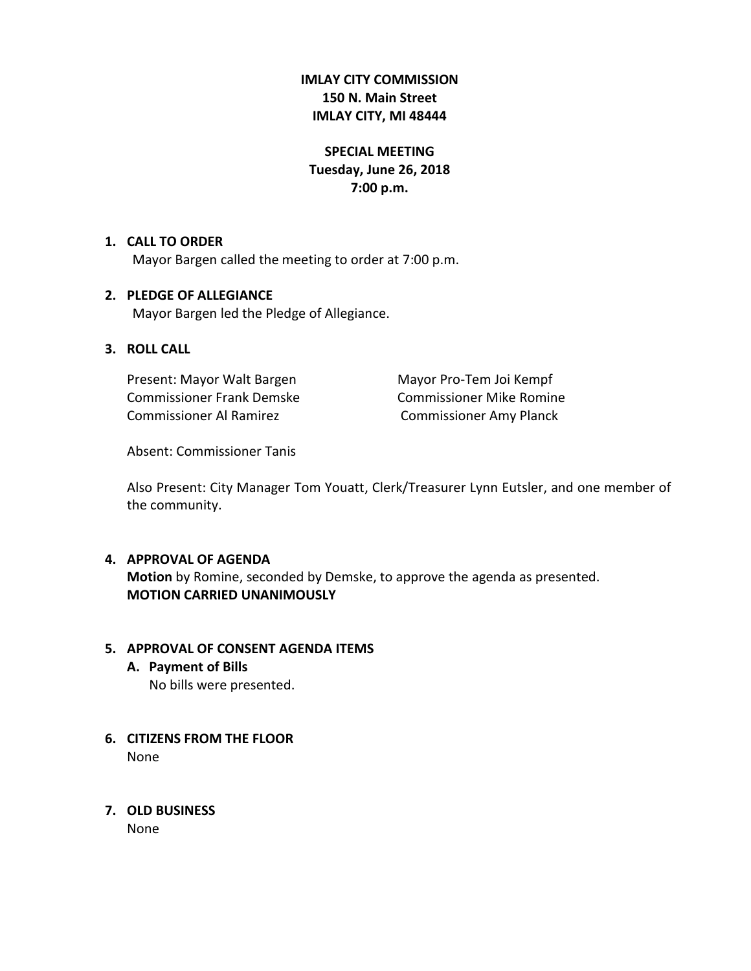# **IMLAY CITY COMMISSION 150 N. Main Street IMLAY CITY, MI 48444**

# **SPECIAL MEETING Tuesday, June 26, 2018 7:00 p.m.**

# **1. CALL TO ORDER**

Mayor Bargen called the meeting to order at 7:00 p.m.

# **2. PLEDGE OF ALLEGIANCE**

Mayor Bargen led the Pledge of Allegiance.

# **3. ROLL CALL**

Present: Mayor Walt Bargen Mayor Pro-Tem Joi Kempf Commissioner Frank Demske Commissioner Mike Romine Commissioner Al Ramirez **Commissioner Amy Planck** 

Absent: Commissioner Tanis

Also Present: City Manager Tom Youatt, Clerk/Treasurer Lynn Eutsler, and one member of the community.

# **4. APPROVAL OF AGENDA**

**Motion** by Romine, seconded by Demske, to approve the agenda as presented. **MOTION CARRIED UNANIMOUSLY**

# **5. APPROVAL OF CONSENT AGENDA ITEMS**

- **A. Payment of Bills** No bills were presented.
- **6. CITIZENS FROM THE FLOOR** None
- **7. OLD BUSINESS**

None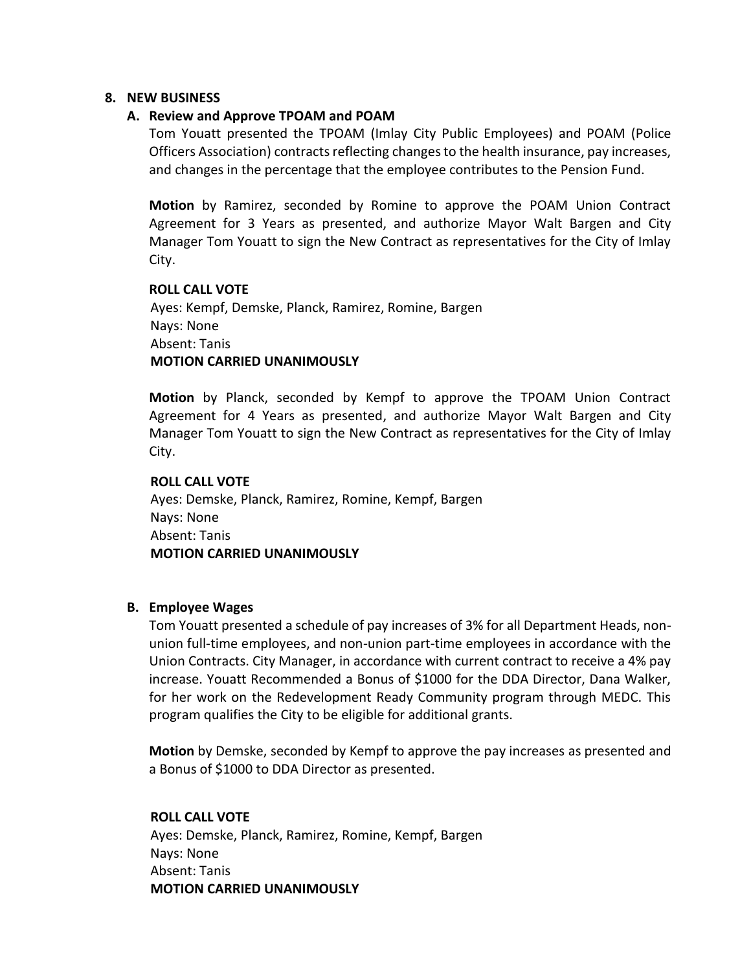#### **8. NEW BUSINESS**

#### **A. Review and Approve TPOAM and POAM**

Tom Youatt presented the TPOAM (Imlay City Public Employees) and POAM (Police Officers Association) contractsreflecting changes to the health insurance, pay increases, and changes in the percentage that the employee contributes to the Pension Fund.

**Motion** by Ramirez, seconded by Romine to approve the POAM Union Contract Agreement for 3 Years as presented, and authorize Mayor Walt Bargen and City Manager Tom Youatt to sign the New Contract as representatives for the City of Imlay City.

#### **ROLL CALL VOTE**

Ayes: Kempf, Demske, Planck, Ramirez, Romine, Bargen Nays: None Absent: Tanis  **MOTION CARRIED UNANIMOUSLY**

**Motion** by Planck, seconded by Kempf to approve the TPOAM Union Contract Agreement for 4 Years as presented, and authorize Mayor Walt Bargen and City Manager Tom Youatt to sign the New Contract as representatives for the City of Imlay City.

#### **ROLL CALL VOTE**

 Ayes: Demske, Planck, Ramirez, Romine, Kempf, Bargen Nays: None Absent: Tanis  **MOTION CARRIED UNANIMOUSLY**

# **B. Employee Wages**

Tom Youatt presented a schedule of pay increases of 3% for all Department Heads, nonunion full-time employees, and non-union part-time employees in accordance with the Union Contracts. City Manager, in accordance with current contract to receive a 4% pay increase. Youatt Recommended a Bonus of \$1000 for the DDA Director, Dana Walker, for her work on the Redevelopment Ready Community program through MEDC. This program qualifies the City to be eligible for additional grants.

**Motion** by Demske, seconded by Kempf to approve the pay increases as presented and a Bonus of \$1000 to DDA Director as presented.

#### **ROLL CALL VOTE**

 Ayes: Demske, Planck, Ramirez, Romine, Kempf, Bargen Nays: None Absent: Tanis  **MOTION CARRIED UNANIMOUSLY**